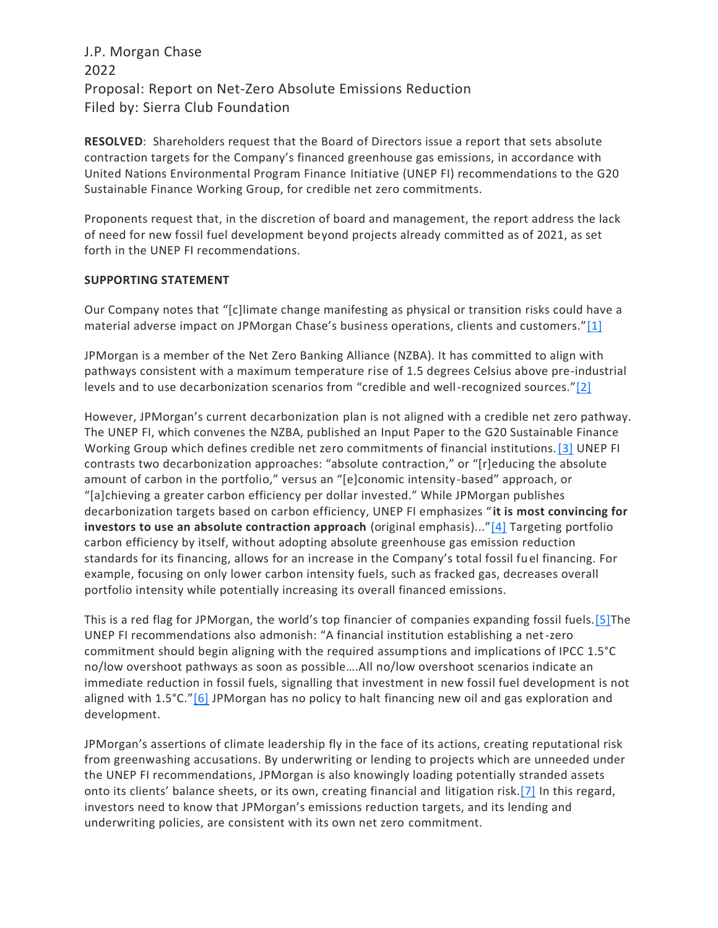## J.P. Morgan Chase 2022 Proposal: Report on Net-Zero Absolute Emissions Reduction Filed by: Sierra Club Foundation

**RESOLVED**: Shareholders request that the Board of Directors issue a report that sets absolute contraction targets for the Company's financed greenhouse gas emissions, in accordance with United Nations Environmental Program Finance Initiative (UNEP FI) recommendations to the G20 Sustainable Finance Working Group, for credible net zero commitments.

Proponents request that, in the discretion of board and management, the report address the lack of need for new fossil fuel development beyond projects already committed as of 2021, as set forth in the UNEP FI recommendations.

## **SUPPORTING STATEMENT**

Our Company notes that "[c]limate change manifesting as physical or transition risks could have a material adverse impact on JPMorgan Chase's business operations, clients and customers."[\[1\]](https://exchange.iccr.org/resolution/131008#_ftn1)

JPMorgan is a member of the Net Zero Banking Alliance (NZBA). It has committed to align with pathways consistent with a maximum temperature rise of 1.5 degrees Celsius above pre-industrial levels and to use decarbonization scenarios from "credible and well-recognized sources."[\[2\]](https://exchange.iccr.org/resolution/131008#_ftn2)

However, JPMorgan's current decarbonization plan is not aligned with a credible net zero pathway. The UNEP FI, which convenes the NZBA, published an Input Paper to the G20 Sustainable Finance Working Group which defines credible net zero commitments of financial institutions[.\[3\]](https://exchange.iccr.org/resolution/131008#_ftn3) UNEP FI contrasts two decarbonization approaches: "absolute contraction," or "[r]educing the absolute amount of carbon in the portfolio," versus an "[e]conomic intensity-based" approach, or "[a]chieving a greater carbon efficiency per dollar invested." While JPMorgan publishes decarbonization targets based on carbon efficiency, UNEP FI emphasizes "**it is most convincing for investors to use an absolute contraction approach** (original emphasis)..."[\[4\]](https://exchange.iccr.org/resolution/131008#_ftn4) Targeting portfolio carbon efficiency by itself, without adopting absolute greenhouse gas emission reduction standards for its financing, allows for an increase in the Company's total fossil fuel financing. For example, focusing on only lower carbon intensity fuels, such as fracked gas, decreases overall portfolio intensity while potentially increasing its overall financed emissions.

This is a red flag for JPMorgan, the world's top financier of companies expanding fossil fuels[.\[5\]T](https://exchange.iccr.org/resolution/131008#_ftn5)he UNEP FI recommendations also admonish: "A financial institution establishing a net-zero commitment should begin aligning with the required assumptions and implications of IPCC 1.5°C no/low overshoot pathways as soon as possible….All no/low overshoot scenarios indicate an immediate reduction in fossil fuels, signalling that investment in new fossil fuel development is not aligned with 1.5°C."<sup>[\[6\]](https://exchange.iccr.org/resolution/131008#_ftn6)</sup> JPMorgan has no policy to halt financing new oil and gas exploration and development.

JPMorgan's assertions of climate leadership fly in the face of its actions, creating reputational risk from greenwashing accusations. By underwriting or lending to projects which are unneeded under the UNEP FI recommendations, JPMorgan is also knowingly loading potentially stranded assets onto its clients' balance sheets, or its own, creating financial and litigation risk[.\[7\]](https://exchange.iccr.org/resolution/131008#_ftn7) In this regard, investors need to know that JPMorgan's emissions reduction targets, and its lending and underwriting policies, are consistent with its own net zero commitment.